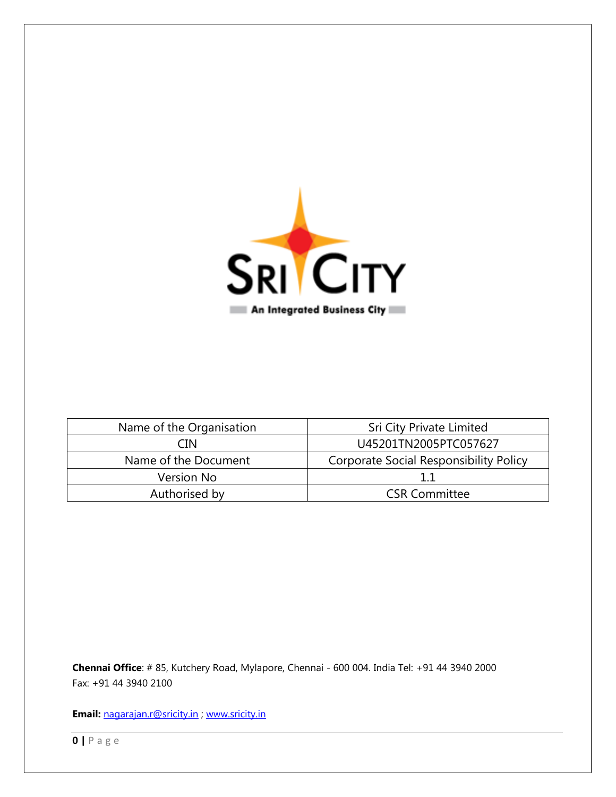

| Name of the Organisation | Sri City Private Limited                      |  |
|--------------------------|-----------------------------------------------|--|
| CIN                      | U45201TN2005PTC057627                         |  |
| Name of the Document     | <b>Corporate Social Responsibility Policy</b> |  |
| Version No               |                                               |  |
| Authorised by            | <b>CSR Committee</b>                          |  |

**Chennai Office**: # 85, Kutchery Road, Mylapore, Chennai - 600 004. India Tel: +91 44 3940 2000 Fax: +91 44 3940 2100

**Email:** [nagarajan.r@sricity.in](mailto:nagarajan.r@sricity.in) ; [www.sricity.in](http://www.sricity.in/)

**0 |** P a g e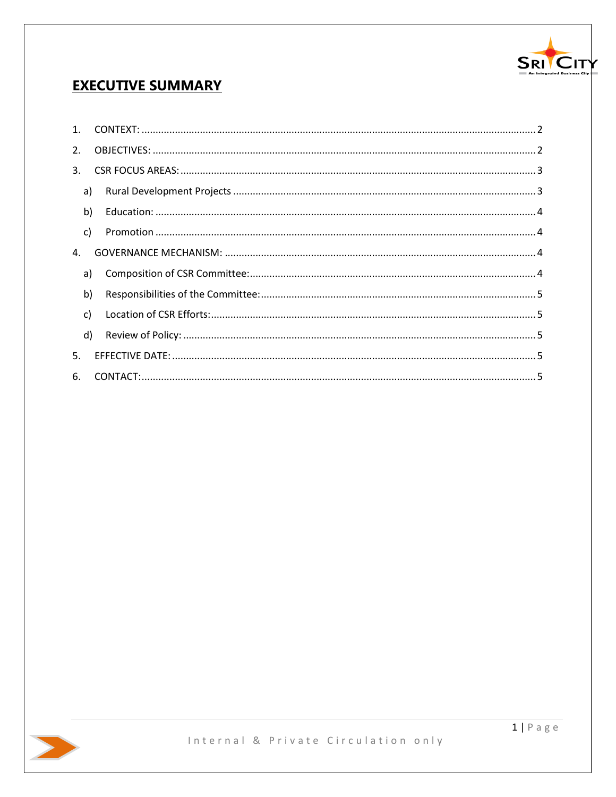

# **EXECUTIVE SUMMARY**

| 2.                   |              |  |
|----------------------|--------------|--|
| 3.                   |              |  |
|                      | a)           |  |
|                      | b)           |  |
|                      | $\mathsf{C}$ |  |
| $\mathbf{A}_{\cdot}$ |              |  |
|                      | a)           |  |
|                      | b)           |  |
|                      | $\mathsf{C}$ |  |
|                      | d)           |  |
| 5.                   |              |  |
| 6.                   |              |  |

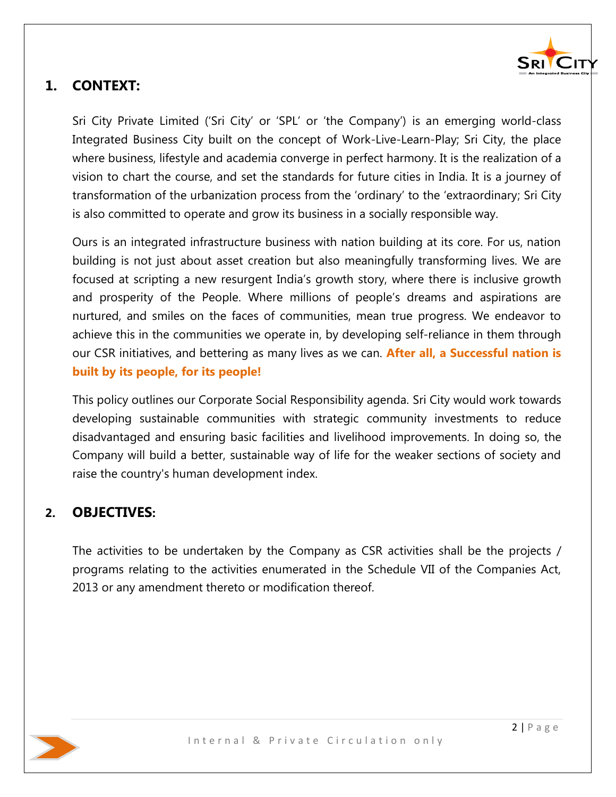

# <span id="page-2-0"></span>**1. CONTEXT:**

Sri City Private Limited ('Sri City' or 'SPL' or 'the Company') is an emerging world-class Integrated Business City built on the concept of Work-Live-Learn-Play; Sri City, the place where business, lifestyle and academia converge in perfect harmony. It is the realization of a vision to chart the course, and set the standards for future cities in India. It is a journey of transformation of the urbanization process from the 'ordinary' to the 'extraordinary; Sri City is also committed to operate and grow its business in a socially responsible way.

Ours is an integrated infrastructure business with nation building at its core. For us, nation building is not just about asset creation but also meaningfully transforming lives. We are focused at scripting a new resurgent India's growth story, where there is inclusive growth and prosperity of the People. Where millions of people's dreams and aspirations are nurtured, and smiles on the faces of communities, mean true progress. We endeavor to achieve this in the communities we operate in, by developing self-reliance in them through our CSR initiatives, and bettering as many lives as we can. **After all, a Successful nation is built by its people, for its people!**

This policy outlines our Corporate Social Responsibility agenda. Sri City would work towards developing sustainable communities with strategic community investments to reduce disadvantaged and ensuring basic facilities and livelihood improvements. In doing so, the Company will build a better, sustainable way of life for the weaker sections of society and raise the country's human development index.

## <span id="page-2-1"></span>**2. OBJECTIVES:**

The activities to be undertaken by the Company as CSR activities shall be the projects / programs relating to the activities enumerated in the Schedule VII of the Companies Act, 2013 or any amendment thereto or modification thereof.

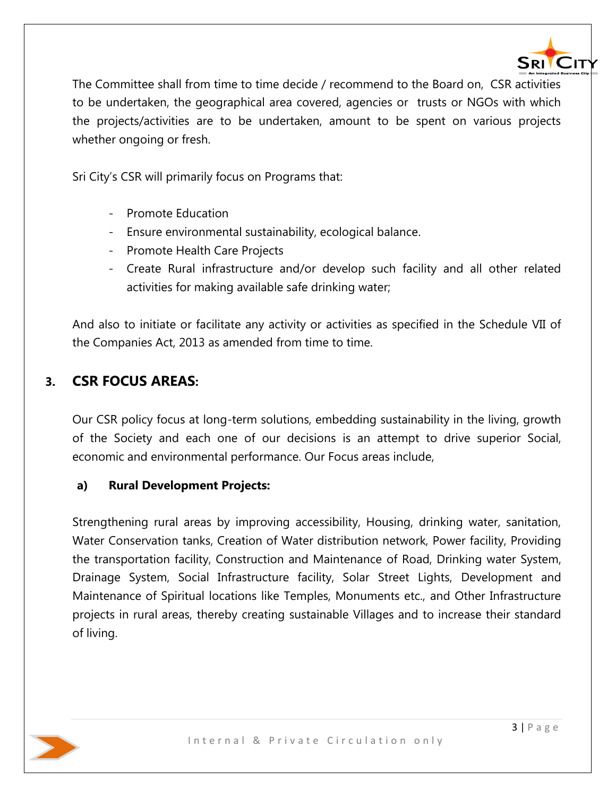

The Committee shall from time to time decide / recommend to the Board on, CSR activities to be undertaken, the geographical area covered, agencies or trusts or NGOs with which the projects/activities are to be undertaken, amount to be spent on various projects whether ongoing or fresh.

Sri City's CSR will primarily focus on Programs that:

- Promote Education
- Ensure environmental sustainability, ecological balance.
- Promote Health Care Projects
- Create Rural infrastructure and/or develop such facility and all other related activities for making available safe drinking water;

And also to initiate or facilitate any activity or activities as specified in the Schedule VII of the Companies Act, 2013 as amended from time to time.

## <span id="page-3-0"></span>**3. CSR FOCUS AREAS:**

Our CSR policy focus at long-term solutions, embedding sustainability in the living, growth of the Society and each one of our decisions is an attempt to drive superior Social, economic and environmental performance. Our Focus areas include,

#### <span id="page-3-1"></span>**a) Rural Development Projects:**

Strengthening rural areas by improving accessibility, Housing, drinking water, sanitation, Water Conservation tanks, Creation of Water distribution network, Power facility, Providing the transportation facility, Construction and Maintenance of Road, Drinking water System, Drainage System, Social Infrastructure facility, Solar Street Lights, Development and Maintenance of Spiritual locations like Temples, Monuments etc., and Other Infrastructure projects in rural areas, thereby creating sustainable Villages and to increase their standard of living.

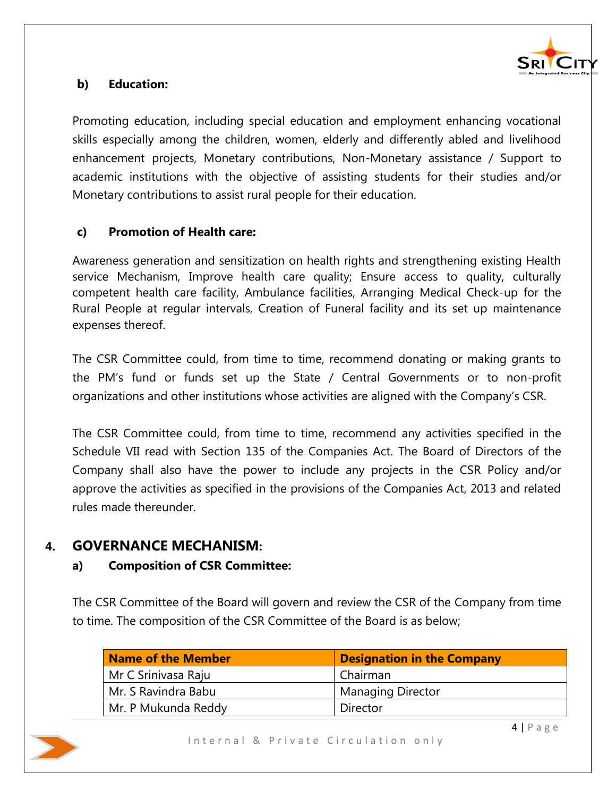

## <span id="page-4-0"></span>**b) Education:**

Promoting education, including special education and employment enhancing vocational skills especially among the children, women, elderly and differently abled and livelihood enhancement projects, Monetary contributions, Non-Monetary assistance / Support to academic institutions with the objective of assisting students for their studies and/or Monetary contributions to assist rural people for their education.

### <span id="page-4-1"></span>**c) Promotion of Health care:**

Awareness generation and sensitization on health rights and strengthening existing Health service Mechanism, Improve health care quality; Ensure access to quality, culturally competent health care facility, Ambulance facilities, Arranging Medical Check-up for the Rural People at regular intervals, Creation of Funeral facility and its set up maintenance expenses thereof.

The CSR Committee could, from time to time, recommend donating or making grants to the PM's fund or funds set up the State / Central Governments or to non-profit organizations and other institutions whose activities are aligned with the Company's CSR.

The CSR Committee could, from time to time, recommend any activities specified in the Schedule VII read with Section 135 of the Companies Act. The Board of Directors of the Company shall also have the power to include any projects in the CSR Policy and/or approve the activities as specified in the provisions of the Companies Act, 2013 and related rules made thereunder.

## <span id="page-4-2"></span>**4. GOVERNANCE MECHANISM:**

#### <span id="page-4-3"></span>**a) Composition of CSR Committee:**

The CSR Committee of the Board will govern and review the CSR of the Company from time to time. The composition of the CSR Committee of the Board is as below;

| <b>Name of the Member</b> | <b>Designation in the Company</b> |  |
|---------------------------|-----------------------------------|--|
| Mr C Srinivasa Raju       | Chairman                          |  |
| Mr. S Ravindra Babu       | <b>Managing Director</b>          |  |
| Mr. P Mukunda Reddy       | Director                          |  |

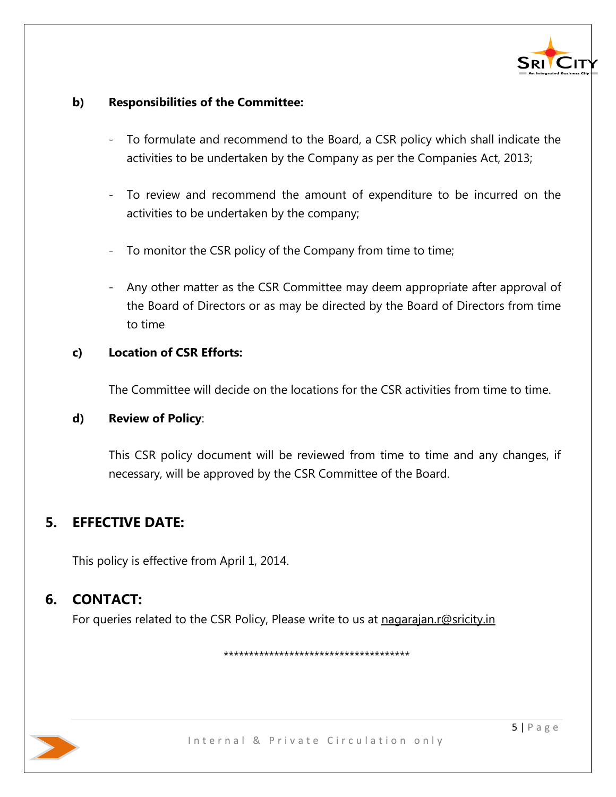

### <span id="page-5-0"></span>**b) Responsibilities of the Committee:**

- To formulate and recommend to the Board, a CSR policy which shall indicate the activities to be undertaken by the Company as per the Companies Act, 2013;
- To review and recommend the amount of expenditure to be incurred on the activities to be undertaken by the company;
- To monitor the CSR policy of the Company from time to time;
- Any other matter as the CSR Committee may deem appropriate after approval of the Board of Directors or as may be directed by the Board of Directors from time to time

## <span id="page-5-1"></span>**c) Location of CSR Efforts:**

The Committee will decide on the locations for the CSR activities from time to time.

#### <span id="page-5-2"></span>**d) Review of Policy**:

This CSR policy document will be reviewed from time to time and any changes, if necessary, will be approved by the CSR Committee of the Board.

# <span id="page-5-3"></span>**5. EFFECTIVE DATE:**

This policy is effective from April 1, 2014.

# **6. CONTACT:**

<span id="page-5-4"></span>For queries related to the CSR Policy, Please write to us at [nagarajan.r@sricity.in](mailto:nagarajan.r@sricity.in)

\*\*\*\*\*\*\*\*\*\*\*\*\*\*\*\*\*\*\*\*\*\*\*\*\*\*\*\*\*\*\*\*\*\*\*\*\*